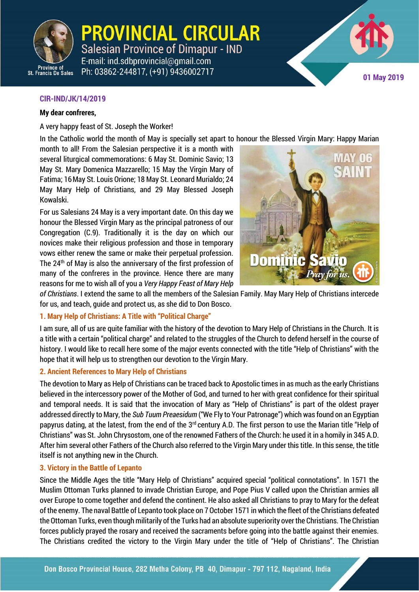

**PROVINCIAL CIRCULAR** Salesian Province of Dimapur - IND E-mail: ind.sdbprovincial@gmail.com

Ph: 03862-244817, (+91) 9436002717



## **CIR-IND/JK/14/2019**

#### **My dear confreres,**

A very happy feast of St. Joseph the Worker!

In the Catholic world the month of May is specially set apart to honour the Blessed Virgin Mary: Happy Marian

month to all! From the Salesian perspective it is a month with several liturgical commemorations: 6 May St. Dominic Savio; 13 May St. Mary Domenica Mazzarello; 15 May the Virgin Mary of Fatima; 16May St. Louis Orione; 18 May St. Leonard Murialdo; 24 May Mary Help of Christians, and 29 May Blessed Joseph Kowalski.

For us Salesians 24 May is a very important date. On this day we honour the Blessed Virgin Mary as the principal patroness of our Congregation (C.9). Traditionally it is the day on which our novices make their religious profession and those in temporary vows either renew the same or make their perpetual profession. The 24th of May is also the anniversary of the first profession of many of the confreres in the province. Hence there are many reasons for me to wish all of you a *Very Happy Feast of Mary Help* 



CIR-IND/JK/14/2019 **1**

*of Christians*. I extend the same to all the members of the Salesian Family. May Mary Help of Christians intercede for us, and teach, guide and protect us, as she did to Don Bosco.

## **1. Mary Help of Christians: A Title with "Political Charge"**

I am sure, all of us are quite familiar with the history of the devotion to Mary Help of Christians in the Church. It is a title with a certain "political charge" and related to the struggles of the Church to defend herself in the course of history. I would like to recall here some of the major events connected with the title "Help of Christians" with the hope that it will help us to strengthen our devotion to the Virgin Mary.

## **2. Ancient References to Mary Help of Christians**

The devotion to Mary as Help of Christians can be traced back to Apostolic times in as much as the early Christians believed in the intercessory power of the Mother of God, and turned to her with great confidence for their spiritual and temporal needs. It is said that the invocation of Mary as "Help of Christians" is part of the oldest prayer addressed directly to Mary, the *Sub Tuum Preaesidum* ("We Fly to Your Patronage") which was found on an Egyptian papyrus dating, at the latest, from the end of the 3<sup>rd</sup> century A.D. The first person to use the Marian title "Help of Christians" was St. John Chrysostom, one of the renowned Fathers of the Church: he used it in a homily in 345 A.D. After him several other Fathers of the Church also referred to the Virgin Mary under this title. In this sense, the title itself is not anything new in the Church.

## **3. Victory in the Battle of Lepanto**

Since the Middle Ages the title "Mary Help of Christians" acquired special "political connotations". In 1571 the Muslim Ottoman Turks planned to invade Christian Europe, and Pope Pius V called upon the Christian armies all over Europe to come together and defend the continent. He also asked all Christians to pray to Mary for the defeat of the enemy. The naval Battle of Lepanto took place on 7 October 1571 in which the fleet of the Christians defeated the Ottoman Turks, even though militarily of the Turks had an absolute superiority over the Christians. The Christian forces publicly prayed the rosary and received the sacraments before going into the battle against their enemies. The Christians credited the victory to the Virgin Mary under the title of "Help of Christians". The Christian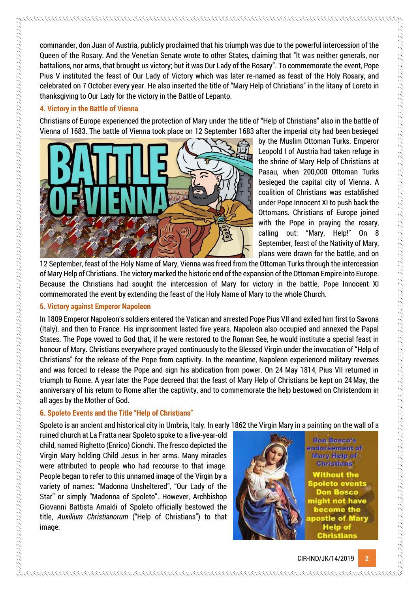commander, don Juan of Austria, publicly proclaimed that his triumph was due to the powerful intercession of the Queen of the Rosary. And the Venetian Senate wrote to other States, claiming that "It was neither generals, nor battalions, nor arms, that brought us victory; but it was Our Lady of the Rosary". To commemorate the event, Pope Pius V instituted the feast of Our Lady of Victory which was later re-named as feast of the Holy Rosary, and celebrated on 7 October every year. He also inserted the title of "Mary Help of Christians" in the litany of Loreto in thanksgiving to Our Lady for the victory in the Battle of Lepanto.

## **4. Victory in the Battle of Vienna**

Christians of Europe experienced the protection of Mary under the title of "Help of Christians" also in the battle of Vienna of 1683. The battle of Vienna took place on 12 September 1683 after the imperial city had been besieged



by the Muslim Ottoman Turks. Emperor Leopold I of Austria had taken refuge in the shrine of Mary Help of Christians at Pasau, when 200,000 Ottoman Turks besieged the capital city of Vienna. A coalition of Christians was established under Pope Innocent XI to push back the Ottomans. Christians of Europe joined with the Pope in praying the rosary, calling out: "Mary, Help!" On 8 September, feast of the Nativity of Mary, plans were drawn for the battle, and on

12 September, feast of the Holy Name of Mary, Vienna was freed from the Ottoman Turks through the intercession of Mary Help of Christians. The victory marked the historic end of the expansion of the Ottoman Empire into Europe. Because the Christians had sought the intercession of Mary for victory in the battle, Pope Innocent XI commemorated the event by extending the feast of the Holy Name of Mary to the whole Church.

## **5. Victory against Emperor Napoleon**

 $\alpha$  , and the complete state of the complete state of the complete state of the complete state of the complete state of the complete state of the complete state of the complete state of the complete state of the complete

In 1809 Emperor Napoleon's soldiers entered the Vatican and arrested Pope Pius VII and exiled him first to Savona (Italy), and then to France. His imprisonment lasted five years. Napoleon also occupied and annexed the Papal States. The Pope vowed to God that, if he were restored to the Roman See, he would institute a special feast in honour of Mary. Christians everywhere prayed continuously to the Blessed Virgin under the invocation of "Help of Christians" for the release of the Pope from captivity. In the meantime, Napoleon experienced military reverses and was forced to release the Pope and sign his abdication from power. On 24 May 1814, Pius VII returned in triumph to Rome. A year later the Pope decreed that the feast of Mary Help of Christians be kept on 24 May, the anniversary of his return to Rome after the captivity, and to commemorate the help bestowed on Christendom in all ages by the Mother of God.

# **6. Spoleto Events and the Title "Help of Christians"**

Spoleto is an ancient and historical city in Umbria, Italy. In early 1862 the Virgin Mary in a painting on the wall of a

ruined church at La Fratta near Spoleto spoke to a five-year-old child, named Righetto (Enrico) Cionchi. The fresco depicted the Virgin Mary holding Child Jesus in her arms. Many miracles were attributed to people who had recourse to that image. People began to refer to this unnamed image of the Virgin by a variety of names: "Madonna Unsheltered", "Our Lady of the Star" or simply "Madonna of Spoleto". However, Archbishop Giovanni Battista Arnaldi of Spoleto officially bestowed the title, *Auxilium Christianorum* ("Help of Christians") to that image.



Don Bosso's to memeryobm Mary Help of **Christians** 

**Without the** spoleto events **Don Bosco** ght not have become the postle of Mary **Help of**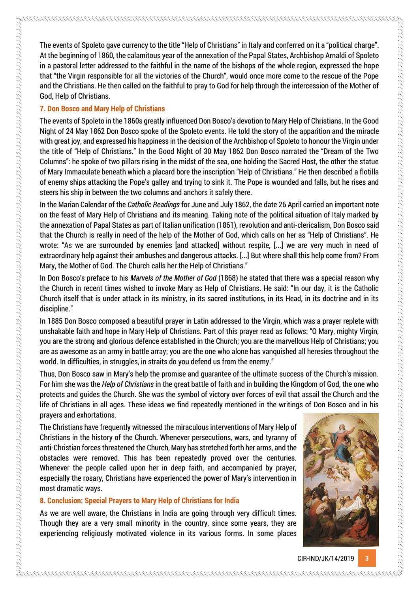The events of Spoleto gave currency to the title "Help of Christians" in Italy and conferred on it a "political charge". At the beginning of 1860, the calamitous year of the annexation of the Papal States, Archbishop Arnaldi of Spoleto in a pastoral letter addressed to the faithful in the name of the bishops of the whole region, expressed the hope that "the Virgin responsible for all the victories of the Church", would once more come to the rescue of the Pope and the Christians. He then called on the faithful to pray to God for help through the intercession of the Mother of God, Help of Christians.

## **7. Don Bosco and Mary Help of Christians**

The events of Spoleto in the 1860s greatly influenced Don Bosco's devotion to Mary Help of Christians. In the Good Night of 24 May 1862 Don Bosco spoke of the Spoleto events. He told the story of the apparition and the miracle with great joy, and expressed his happiness in the decision of the Archbishop of Spoleto to honour the Virgin under the title of "Help of Christians." In the Good Night of 30 May 1862 Don Bosco narrated the "Dream of the Two Columns": he spoke of two pillars rising in the midst of the sea, one holding the Sacred Host, the other the statue of Mary Immaculate beneath which a placard bore the inscription "Help of Christians." He then described a flotilla of enemy ships attacking the Pope's galley and trying to sink it. The Pope is wounded and falls, but he rises and steers his ship in between the two columns and anchors it safely there.

In the Marian Calendar of the *Catholic Readings* for June and July 1862, the date 26 April carried an important note on the feast of Mary Help of Christians and its meaning. Taking note of the political situation of Italy marked by the annexation of Papal States as part of Italian unification (1861), revolution and anti-clericalism, Don Bosco said that the Church is really in need of the help of the Mother of God, which calls on her as "Help of Christians". He wrote: "As we are surrounded by enemies [and attacked] without respite, [...] we are very much in need of extraordinary help against their ambushes and dangerous attacks. [...] But where shall this help come from? From Mary, the Mother of God. The Church calls her the Help of Christians."

In Don Bosco's preface to his *Marvels of the Mother of God* (1868) he stated that there was a special reason why the Church in recent times wished to invoke Mary as Help of Christians. He said: "In our day, it is the Catholic Church itself that is under attack in its ministry, in its sacred institutions, in its Head, in its doctrine and in its discipline."

In 1885 Don Bosco composed a beautiful prayer in Latin addressed to the Virgin, which was a prayer replete with unshakable faith and hope in Mary Help of Christians. Part of this prayer read as follows: "O Mary, mighty Virgin, you are the strong and glorious defence established in the Church; you are the marvellous Help of Christians; you are as awesome as an army in battle array; you are the one who alone has vanquished all heresies throughout the world. In difficulties, in struggles, in straits do you defend us from the enemy."

Thus, Don Bosco saw in Mary's help the promise and guarantee of the ultimate success of the Church's mission. For him she was the *Help of Christians* in the great battle of faith and in building the Kingdom of God, the one who protects and guides the Church. She was the symbol of victory over forces of evil that assail the Church and the life of Christians in all ages. These ideas we find repeatedly mentioned in the writings of Don Bosco and in his prayers and exhortations.

The Christians have frequently witnessed the miraculous interventions of Mary Help of Christians in the history of the Church. Whenever persecutions, wars, and tyranny of anti-Christian forces threatened the Church, Mary has stretched forth her arms, and the obstacles were removed. This has been repeatedly proved over the centuries. Whenever the people called upon her in deep faith, and accompanied by prayer, especially the rosary, Christians have experienced the power of Mary's intervention in most dramatic ways.

## **8. Conclusion: Special Prayers to Mary Help of Christians for India**

As we are well aware, the Christians in India are going through very difficult times. Though they are a very small minority in the country, since some years, they are experiencing religiously motivated violence in its various forms. In some places

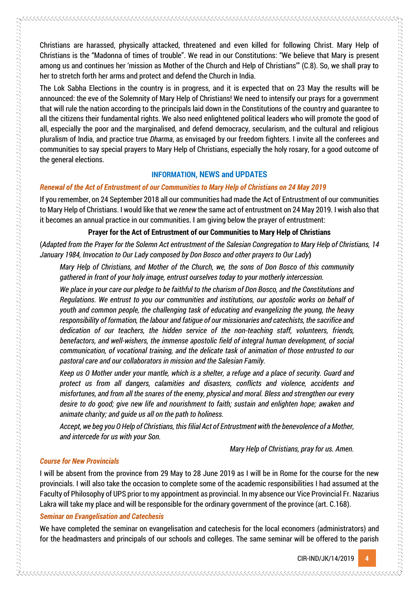The Lok Sabha Elections in the country is in progress, and it is expected that on 23 May the results will be announced: the eve of the Solemnity of Mary Help of Christians! We need to intensify our prays for a government that will rule the nation according to the principals laid down in the Constitutions of the country and guarantee to all the citizens their fundamental rights. We also need enlightened political leaders who will promote the good of all, especially the poor and the marginalised, and defend democracy, secularism, and the cultural and religious pluralism of India, and practice true *Dharma*, as envisaged by our freedom fighters. I invite all the conferees and communities to say special prayers to Mary Help of Christians, especially the holy rosary, for a good outcome of the general elections.

## **INFORMATION, NEWS and UPDATES**

#### *Renewal of the Act of Entrustment of our Communities to Mary Help of Christians on 24 May 2019*

If you remember, on 24 September 2018 all our communities had made the Act of Entrustment of our communities to Mary Help of Christians. I would like that we *renew* the same act of entrustment on 24 May 2019. I wish also that it becomes an annual practice in our communities. I am giving below the prayer of entrustment:

#### **Prayer for the Act of Entrustment of our Communities to Mary Help of Christians**

(*Adapted from the Prayer for the Solemn Act entrustment of the Salesian Congregation to Mary Help of Christians, 14 January 1984, Invocation to Our Lady composed by Don Bosco and other prayers to Our Lady***)** 

*Mary Help of Christians, and Mother of the Church, we, the sons of Don Bosco of this community gathered in front of your holy image, entrust ourselves today to your motherly intercession.*

*We place in your care our pledge to be faithful to the charism of Don Bosco, and the Constitutions and Regulations. We entrust to you our communities and institutions, our apostolic works on behalf of youth and common people, the challenging task of educating and evangelizing the young, the heavy responsibility of formation, the labour and fatigue of our missionaries and catechists, the sacrifice and dedication of our teachers, the hidden service of the non-teaching staff, volunteers, friends, benefactors, and well-wishers, the immense apostolic field of integral human development, of social communication, of vocational training, and the delicate task of animation of those entrusted to our pastoral care and our collaborators in mission and the Salesian Family.* 

*Keep us O Mother under your mantle, which is a shelter, a refuge and a place of security. Guard and protect us from all dangers, calamities and disasters, conflicts and violence, accidents and misfortunes, and from all the snares of the enemy, physical and moral. Bless and strengthen our every desire to do good; give new life and nourishment to faith; sustain and enlighten hope; awaken and animate charity; and guide us all on the path to holiness.*

*Accept, we beg you O Help of Christians, this filial Act of Entrustment with the benevolence of a Mother, and intercede for us with your Son.* 

*Mary Help of Christians, pray for us. Amen.* 

#### *Course for New Provincials*

I will be absent from the province from 29 May to 28 June 2019 as I will be in Rome for the course for the new provincials. I will also take the occasion to complete some of the academic responsibilities I had assumed at the Faculty of Philosophy of UPS prior to my appointment as provincial. In my absence our Vice Provincial Fr. Nazarius Lakra will take my place and will be responsible for the ordinary government of the province (art. C.168).

#### *Seminar on Evangelisation and Catechesis*

We have completed the seminar on evangelisation and catechesis for the local economers (administrators) and for the headmasters and principals of our schools and colleges. The same seminar will be offered to the parish

CIR-IND/JK/14/2019 **4**

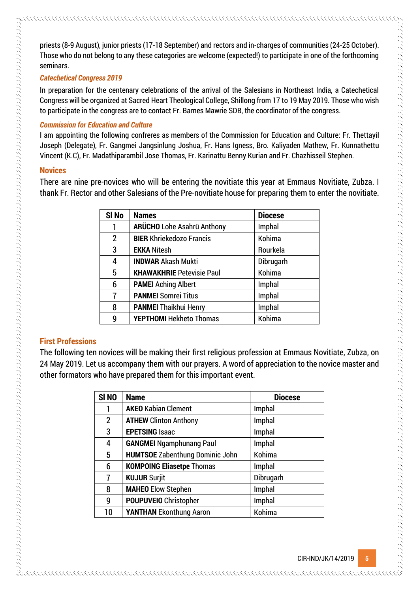priests (8-9 August), junior priests (17-18 September) and rectors and in-charges of communities (24-25 October). Those who do not belong to any these categories are welcome (expected!) to participate in one of the forthcoming seminars.

## *Catechetical Congress 2019*

In preparation for the centenary celebrations of the arrival of the Salesians in Northeast India, a Catechetical Congress will be organized at Sacred Heart Theological College, Shillong from 17 to 19 May 2019. Those who wish to participate in the congress are to contact Fr. Barnes Mawrie SDB, the coordinator of the congress.

## *Commission for Education and Culture*

I am appointing the following confreres as members of the Commission for Education and Culture: Fr. Thettayil Joseph (Delegate), Fr. Gangmei Jangsinlung Joshua, Fr. Hans Igness, Bro. Kaliyaden Mathew, Fr. Kunnathettu Vincent (K.C), Fr. Madathiparambil Jose Thomas, Fr. Karinattu Benny Kurian and Fr. Chazhisseil Stephen.

## **Novices**

There are nine pre-novices who will be entering the novitiate this year at Emmaus Novitiate, Zubza. I thank Fr. Rector and other Salesians of the Pre-novitiate house for preparing them to enter the novitiate.

| SI <sub>No</sub> | <b>Names</b>                      | <b>Diocese</b> |
|------------------|-----------------------------------|----------------|
|                  | <b>ARÜCHO</b> Lohe Asahrü Anthony | Imphal         |
| $\overline{2}$   | <b>BIER Khriekedozo Francis</b>   | Kohima         |
| 3                | <b>EKKA Nitesh</b>                | Rourkela       |
| 4                | <b>INDWAR Akash Mukti</b>         | Dibrugarh      |
| 5                | <b>KHAWAKHRIE Petevisie Paul</b>  | Kohima         |
| 6                | <b>PAMEI Aching Albert</b>        | Imphal         |
| 7                | <b>PANMEI Somrei Titus</b>        | Imphal         |
| 8                | <b>PANMEI Thaikhui Henry</b>      | Imphal         |
| 9                | <b>YEPTHOMI Hekheto Thomas</b>    | Kohima         |

# **First Professions**

The following ten novices will be making their first religious profession at Emmaus Novitiate, Zubza, on 24 May 2019. Let us accompany them with our prayers. A word of appreciation to the novice master and other formators who have prepared them for this important event.

| SI <sub>NO</sub> | <b>Name</b>                            | <b>Diocese</b> |
|------------------|----------------------------------------|----------------|
|                  | <b>AKEO Kabian Clement</b>             | Imphal         |
| $\overline{2}$   | <b>ATHEW Clinton Anthony</b>           | Imphal         |
| 3                | <b>EPETSING Isaac</b>                  | Imphal         |
| 4                | <b>GANGMEI Ngamphunang Paul</b>        | Imphal         |
| 5                | <b>HUMTSOE Zabenthung Dominic John</b> | Kohima         |
| 6                | <b>KOMPOING Eliasetpe Thomas</b>       | Imphal         |
| 7                | <b>KUJUR Surjit</b>                    | Dibrugarh      |
| 8                | <b>MAHEO</b> Elow Stephen              | Imphal         |
| 9                | <b>POUPUVEIO</b> Christopher           | Imphal         |
| 10               | <b>YANTHAN Ekonthung Aaron</b>         | Kohima         |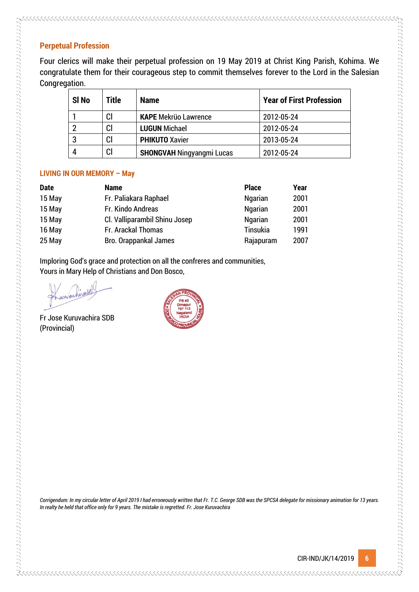# **Perpetual Profession**

Four clerics will make their perpetual profession on 19 May 2019 at Christ King Parish, Kohima. We congratulate them for their courageous step to commit themselves forever to the Lord in the Salesian Congregation.

| SI <sub>No</sub> | Title | <b>Name</b>                      | <b>Year of First Profession</b> |
|------------------|-------|----------------------------------|---------------------------------|
|                  | Cl    | <b>KAPE Mekrüo Lawrence</b>      | 2012-05-24                      |
|                  | CI    | <b>LUGUN Michael</b>             | 2012-05-24                      |
|                  | Cl    | <b>PHIKUTO Xavier</b>            | 2013-05-24                      |
|                  | CI    | <b>SHONGVAH Ningyangmi Lucas</b> | 2012-05-24                      |

# **LIVING IN OUR MEMORY – May**

| <b>Date</b> | <b>Name</b>                   | <b>Place</b>    | Year |
|-------------|-------------------------------|-----------------|------|
| 15 May      | Fr. Paliakara Raphael         | <b>Ngarian</b>  | 2001 |
| 15 May      | Fr. Kindo Andreas             | <b>Ngarian</b>  | 2001 |
| 15 May      | Cl. Valliparambil Shinu Josep | <b>Ngarian</b>  | 2001 |
| 16 May      | Fr. Arackal Thomas            | <b>Tinsukia</b> | 1991 |
| 25 May      | Bro. Orappankal James         | Rajapuram       | 2007 |

Imploring God's grace and protection on all the confreres and communities, Yours in Mary Help of Christians and Don Bosco,

的复数形式 医阿尔伯氏试验检尿病 医阿尔伯氏试验检尿病 医阿尔伯氏征 医阿尔伯氏征 医阿尔伯氏征 医阿尔伯氏征 医阿尔伯氏征 医阿尔伯氏征 医阿尔伯氏征 医阿尔伯氏征 医阿尔伯氏征 医阿尔伯氏征 医阿尔伯氏征 医阿尔伯氏征 医阿尔伯氏征 医阿尔伯氏征 医阿尔伯氏征 医阿尔伯氏征 医阿尔伯氏征 医阿尔伯氏征 医阿尔伯氏征 医阿尔伯氏征 医阿尔伯氏征 医阿尔伯氏征 医阿尔伯氏征

Fr Jose Kuruvachira SDB (Provincial)



*Corrigendum: In my circular letter of April 2019 I had erroneously written that Fr. T.C. George SDB was the SPCSA delegate for missionary animation for 13 years. In realty he held that office only for 9 years. The mistake is regretted. Fr. Jose Kuruvachira*